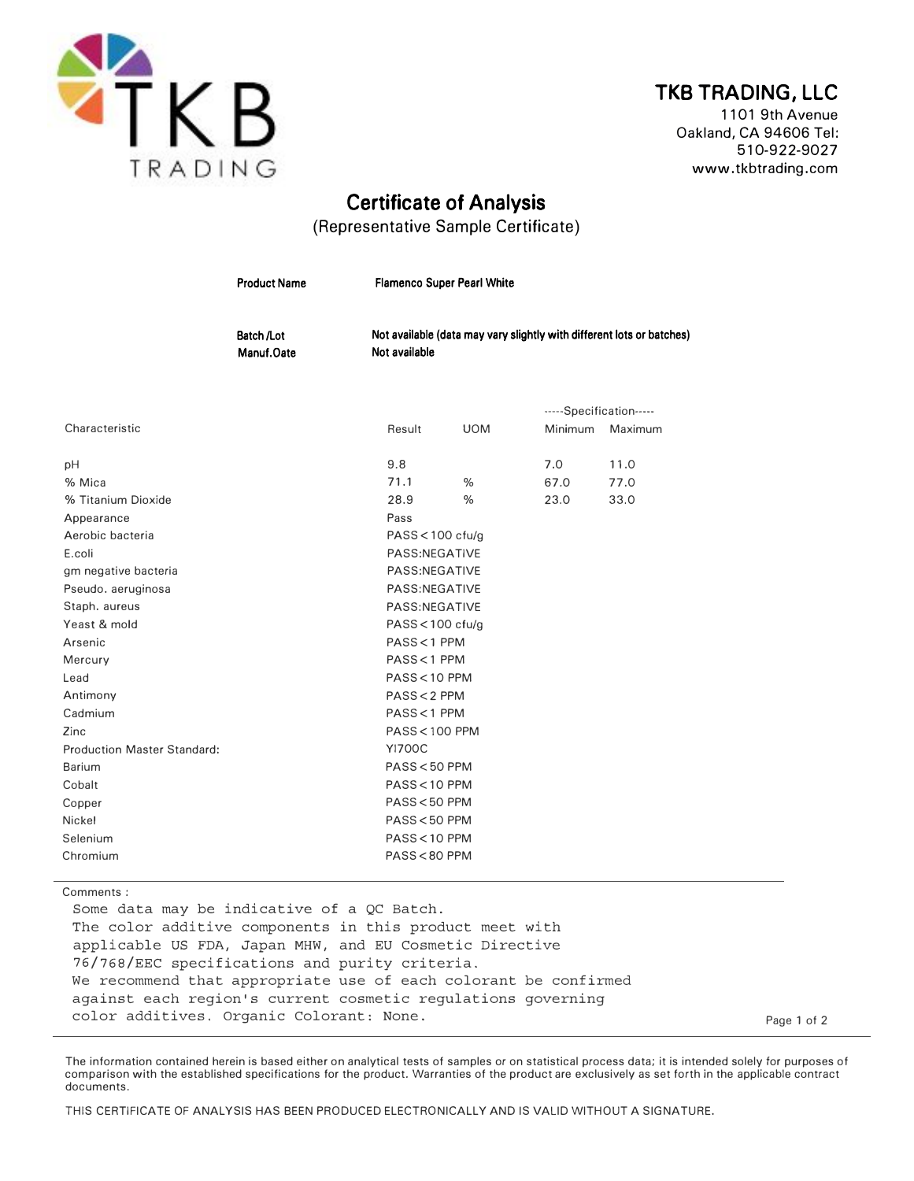

## TKB TRADING, LLC

1101 9th Avenue Oakland, CA 94606 Tel: 510-922-9027 www.tkbtrading.com

## Certificate of Analysis

(Representative Sample Certificate)

|                                    | <b>Product Name</b>             | <b>Flamenco Super Pearl White</b><br>Not available (data may vary slightly with different lots or batches)<br>Not available |               |         |                         |  |
|------------------------------------|---------------------------------|-----------------------------------------------------------------------------------------------------------------------------|---------------|---------|-------------------------|--|
|                                    | <b>Batch /Lot</b><br>Manuf.Oate |                                                                                                                             |               |         |                         |  |
|                                    |                                 |                                                                                                                             |               |         | -----Specification----- |  |
| Characteristic                     |                                 | Result                                                                                                                      | <b>UOM</b>    | Minimum | Maximum                 |  |
| pH                                 |                                 | 9.8                                                                                                                         |               | 7.0     | 11.0                    |  |
| % Mica                             |                                 | 71.1                                                                                                                        | %             | 67.0    | 77.0                    |  |
| % Titanium Dioxide                 |                                 | 28.9                                                                                                                        | %             | 23.0    | 33.0                    |  |
| Appearance                         |                                 | Pass                                                                                                                        |               |         |                         |  |
| Aerobic bacteria                   |                                 | $PASS < 100$ cfu/g                                                                                                          |               |         |                         |  |
| E.coli                             |                                 | PASS:NEGATIVE                                                                                                               |               |         |                         |  |
| gm negative bacteria               |                                 | PASS:NEGATIVE                                                                                                               |               |         |                         |  |
| Pseudo. aeruginosa                 |                                 |                                                                                                                             | PASS:NEGATIVE |         |                         |  |
| Staph. aureus                      |                                 | PASS:NEGATIVE                                                                                                               |               |         |                         |  |
| Yeast & mold                       |                                 | $PASS < 100$ cfu/g                                                                                                          |               |         |                         |  |
| Arsenic                            |                                 | PASS < 1 PPM                                                                                                                |               |         |                         |  |
| Mercury                            |                                 | PASS < 1 PPM                                                                                                                |               |         |                         |  |
| Lead                               |                                 | PASS<10 PPM                                                                                                                 |               |         |                         |  |
| Antimony                           |                                 | PASS < 2 PPM                                                                                                                |               |         |                         |  |
| Cadmium                            |                                 | PASS < 1 PPM                                                                                                                |               |         |                         |  |
| Zinc                               |                                 | <b>PASS &lt; 100 PPM</b>                                                                                                    |               |         |                         |  |
| <b>Production Master Standard:</b> |                                 | <b>YI700C</b>                                                                                                               |               |         |                         |  |
| Barium                             |                                 | PASS < 50 PPM                                                                                                               |               |         |                         |  |
| Cobalt                             |                                 | PASS < 10 PPM                                                                                                               |               |         |                         |  |
| Copper                             |                                 | PASS < 50 PPM                                                                                                               |               |         |                         |  |
| Nickel                             |                                 | PASS < 50 PPM                                                                                                               |               |         |                         |  |
| Selenium                           |                                 | PASS < 10 PPM                                                                                                               |               |         |                         |  |
| Chromium                           |                                 | PASS<80 PPM                                                                                                                 |               |         |                         |  |

Comments :

Some data may be indicative of a QC Batch. The color additive components in this product meet with applicable US FDA, Japan MHW, and EU Cosmetic Directive 76/768/EEC specifications and purity criteria. We recommend that appropriate use of each colorant be confirmed against each region's current cosmetic regulations governing color additives. Organic Colorant: None. Page 1 of 2

The information contained herein is based either on analytical tests of samples or on statistical process data; it is intended solely for purposes of comparison with the established specifications for the product. Warranties of the product are exclusively as set forth in the applicable contract documents.

THIS CERTIFICATE OF ANALYSIS HAS BEEN PRODUCED ELECTRONICALLY AND IS VALID WITHOUT A SIGNATURE.